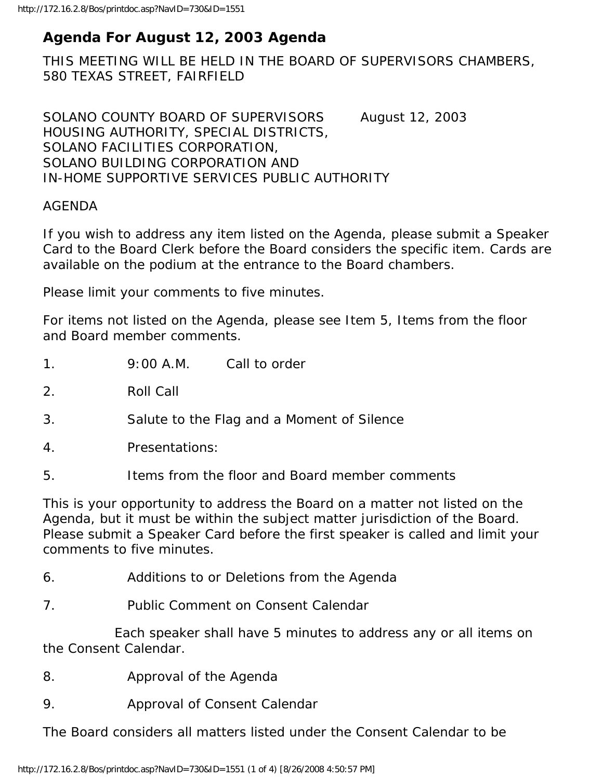## **Agenda For August 12, 2003 Agenda**

THIS MEETING WILL BE HELD IN THE BOARD OF SUPERVISORS CHAMBERS, 580 TEXAS STREET, FAIRFIELD

SOLANO COUNTY BOARD OF SUPERVISORS August 12, 2003 HOUSING AUTHORITY, SPECIAL DISTRICTS, SOLANO FACILITIES CORPORATION, SOLANO BUILDING CORPORATION AND IN-HOME SUPPORTIVE SERVICES PUBLIC AUTHORITY

## AGENDA

If you wish to address any item listed on the Agenda, please submit a Speaker Card to the Board Clerk before the Board considers the specific item. Cards are available on the podium at the entrance to the Board chambers.

Please limit your comments to five minutes.

For items not listed on the Agenda, please see Item 5, Items from the floor and Board member comments.

2. Roll Call

3. Salute to the Flag and a Moment of Silence

- 4. Presentations:
- 5. Items from the floor and Board member comments

This is your opportunity to address the Board on a matter not listed on the Agenda, but it must be within the subject matter jurisdiction of the Board. Please submit a Speaker Card before the first speaker is called and limit your comments to five minutes.

- 6. Additions to or Deletions from the Agenda
- 7. Public Comment on Consent Calendar

 Each speaker shall have 5 minutes to address any or all items on the Consent Calendar.

- 8. Approval of the Agenda
- 9. Approval of Consent Calendar

The Board considers all matters listed under the Consent Calendar to be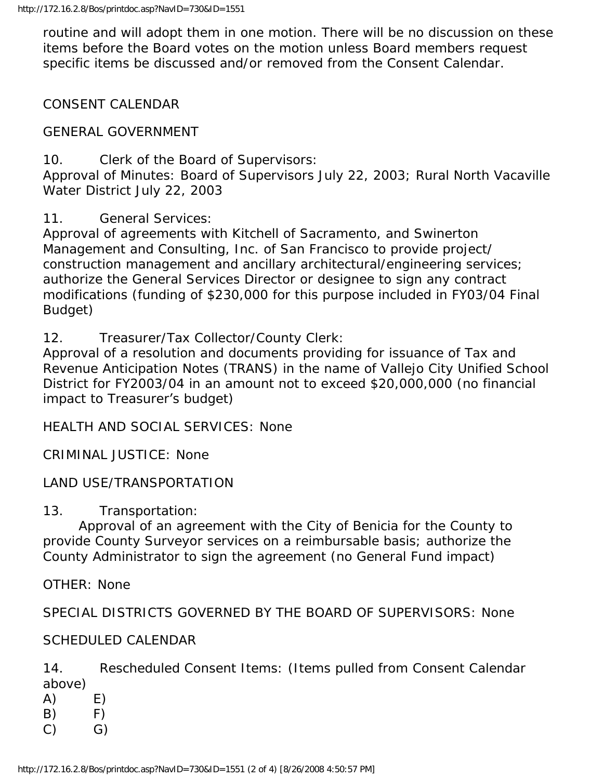routine and will adopt them in one motion. There will be no discussion on these items before the Board votes on the motion unless Board members request specific items be discussed and/or removed from the Consent Calendar.

CONSENT CALENDAR

GENERAL GOVERNMENT

10. Clerk of the Board of Supervisors:

Approval of Minutes: Board of Supervisors July 22, 2003; Rural North Vacaville Water District July 22, 2003

11. General Services:

Approval of agreements with Kitchell of Sacramento, and Swinerton Management and Consulting, Inc. of San Francisco to provide project/ construction management and ancillary architectural/engineering services; authorize the General Services Director or designee to sign any contract modifications (funding of \$230,000 for this purpose included in FY03/04 Final Budget)

12. Treasurer/Tax Collector/County Clerk:

Approval of a resolution and documents providing for issuance of Tax and Revenue Anticipation Notes (TRANS) in the name of Vallejo City Unified School District for FY2003/04 in an amount not to exceed \$20,000,000 (no financial impact to Treasurer's budget)

HEALTH AND SOCIAL SERVICES: None

CRIMINAL JUSTICE: None

LAND USE/TRANSPORTATION

13. Transportation:

 Approval of an agreement with the City of Benicia for the County to provide County Surveyor services on a reimbursable basis; authorize the County Administrator to sign the agreement (no General Fund impact)

OTHER: None

SPECIAL DISTRICTS GOVERNED BY THE BOARD OF SUPERVISORS: None

SCHEDULED CALENDAR

14. Rescheduled Consent Items: (Items pulled from Consent Calendar above)

- $(A)$  E)  $(B)$  F)
- $(C)$   $G)$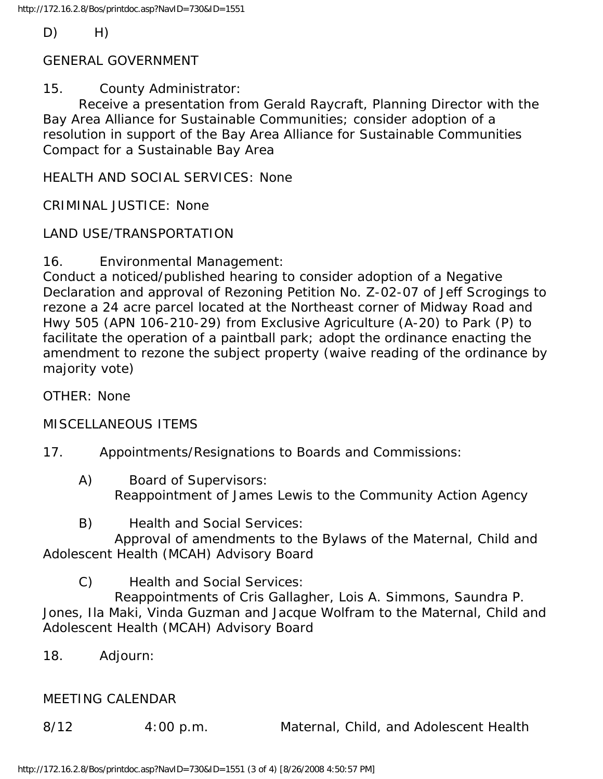$D)$  H)

GENERAL GOVERNMENT

15. County Administrator:

 Receive a presentation from Gerald Raycraft, Planning Director with the Bay Area Alliance for Sustainable Communities; consider adoption of a resolution in support of the Bay Area Alliance for Sustainable Communities Compact for a Sustainable Bay Area

HEALTH AND SOCIAL SERVICES: None

CRIMINAL JUSTICE: None

LAND USE/TRANSPORTATION

16. Environmental Management:

Conduct a noticed/published hearing to consider adoption of a Negative Declaration and approval of Rezoning Petition No. Z-02-07 of Jeff Scrogings to rezone a 24 acre parcel located at the Northeast corner of Midway Road and Hwy 505 (APN 106-210-29) from Exclusive Agriculture (A-20) to Park (P) to facilitate the operation of a paintball park; adopt the ordinance enacting the amendment to rezone the subject property (waive reading of the ordinance by majority vote)

OTHER: None

MISCELLANEOUS ITEMS

- 17. Appointments/Resignations to Boards and Commissions:
	- A) Board of Supervisors: Reappointment of James Lewis to the Community Action Agency
	- B) Health and Social Services:

 Approval of amendments to the Bylaws of the Maternal, Child and Adolescent Health (MCAH) Advisory Board

C) Health and Social Services:

 Reappointments of Cris Gallagher, Lois A. Simmons, Saundra P. Jones, Ila Maki, Vinda Guzman and Jacque Wolfram to the Maternal, Child and Adolescent Health (MCAH) Advisory Board

18. Adjourn:

## MEETING CALENDAR

8/12 4:00 p.m. Maternal, Child, and Adolescent Health